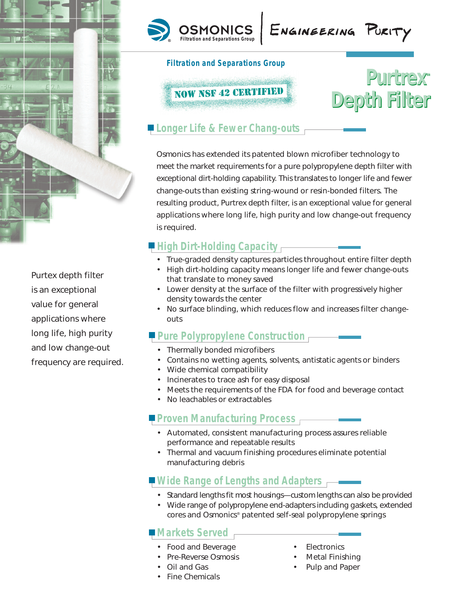

Purtex depth filter is an exceptional value for general applications where long life, high purity and low change-out frequency are required.





#### **Filtration and Separations Group**



## **Longer Life & Fewer Chang-outs**

Osmonics has extended its patented blown microfiber technology to meet the market requirements for a pure polypropylene depth filter with exceptional dirt-holding capability. This translates to longer life and fewer change-outs than existing string-wound or resin-bonded filters. The resulting product, Purtrex depth filter, is an exceptional value for general applications where long life, high purity and low change-out frequency is required.

#### **High Dirt-Holding Capacity**

- True-graded density captures particles throughout entire filter depth
- High dirt-holding capacity means longer life and fewer change-outs that translate to money saved
- Lower density at the surface of the filter with progressively higher density towards the center
- No surface blinding, which reduces flow and increases filter changeouts

#### **Pure Polypropylene Construction**

- Thermally bonded microfibers
- Contains no wetting agents, solvents, antistatic agents or binders
- Wide chemical compatibility
- Incinerates to trace ash for easy disposal
- Meets the requirements of the FDA for food and beverage contact
- No leachables or extractables

### **Proven Manufacturing Process**

- Automated, consistent manufacturing process assures reliable performance and repeatable results
- Thermal and vacuum finishing procedures eliminate potential manufacturing debris

### **Wide Range of Lengths and Adapters**

- Standard lengths fit most housings—custom lengths can also be provided
- Wide range of polypropylene end-adapters including gaskets, extended cores and Osmonics® patented self-seal polypropylene springs

#### **Markets Served**

- Food and Beverage Electronics
- Pre-Reverse Osmosis Metal Finishing
- 
- Fine Chemicals
- 
- 
- Oil and Gas Pulp and Paper